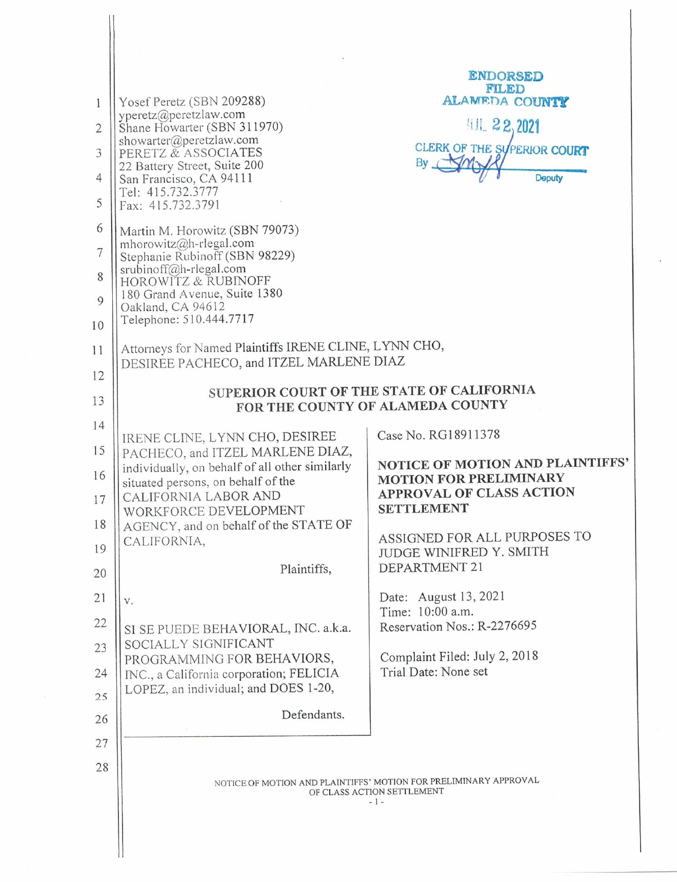| 1<br>$\overline{2}$<br>3<br>4<br>5<br>6<br>7<br>8<br>9<br>10<br>11<br>12<br>13<br>14<br>15<br>16<br>17<br>18<br>19<br>20<br>21<br>22<br>23<br>24<br>25<br>26<br>27 | Yosef Peretz (SBN 209288)<br>yperetz@peretzlaw.com<br>Shane Howarter (SBN 311970)<br>showarter@peretzlaw.com<br>PERETZ & ASSOCIATES<br>22 Battery Street, Suite 200<br>San Francisco, CA 94111<br>Tel: 415.732.3777<br>Fax: 415.732.3791<br>Martin M. Horowitz (SBN 79073)<br>mhorowitz@h-rlegal.com<br>Stephanie Rubinoff (SBN 98229)<br>srubinoff@h-rlegal.com<br>HOROWITZ & RUBINOFF<br>180 Grand Avenue, Suite 1380<br>Oakland, CA 94612<br>Telephone: 510.444.7717<br>Attorneys for Named Plaintiffs IRENE CLINE, LYNN CHO,<br>DESIREE PACHECO, and ITZEL MARLENE DIAZ<br>IRENE CLINE, LYNN CHO, DESIREE<br>PACHECO, and ITZEL MARLENE DIAZ,<br>individually, on behalf of all other similarly<br>situated persons, on behalf of the<br>CALIFORNIA LABOR AND<br>WORKFORCE DEVELOPMENT<br>AGENCY, and on behalf of the STATE OF<br>CALIFORNIA,<br>Plaintiffs,<br>V.<br>SI SE PUEDE BEHAVIORAL, INC. a.k.a.<br>SOCIALLY SIGNIFICANT<br>PROGRAMMING FOR BEHAVIORS,<br>INC., a California corporation; FELICIA<br>LOPEZ, an individual; and DOES 1-20,<br>Defendants. | <b>ENDORSED</b><br>FILED<br>ALAMEDA COUNTY<br>机 22,2021<br>CLERK OF THE SUPERIOR COURT<br>By SMY<br><b>Deputy</b><br>SUPERIOR COURT OF THE STATE OF CALIFORNIA<br>FOR THE COUNTY OF ALAMEDA COUNTY<br>Case No. RG18911378<br>NOTICE OF MOTION AND PLAINTIFFS'<br><b>MOTION FOR PRELIMINARY</b><br>APPROVAL OF CLASS ACTION<br><b>SETTLEMENT</b><br>ASSIGNED FOR ALL PURPOSES TO<br>JUDGE WINIFRED Y. SMITH<br>DEPARTMENT 21<br>Date: August 13, 2021<br>Time: 10:00 a.m.<br>Reservation Nos.: R-2276695<br>Complaint Filed: July 2, 2018<br>Trial Date: None set |
|--------------------------------------------------------------------------------------------------------------------------------------------------------------------|------------------------------------------------------------------------------------------------------------------------------------------------------------------------------------------------------------------------------------------------------------------------------------------------------------------------------------------------------------------------------------------------------------------------------------------------------------------------------------------------------------------------------------------------------------------------------------------------------------------------------------------------------------------------------------------------------------------------------------------------------------------------------------------------------------------------------------------------------------------------------------------------------------------------------------------------------------------------------------------------------------------------------------------------------------------------|------------------------------------------------------------------------------------------------------------------------------------------------------------------------------------------------------------------------------------------------------------------------------------------------------------------------------------------------------------------------------------------------------------------------------------------------------------------------------------------------------------------------------------------------------------------|
|                                                                                                                                                                    |                                                                                                                                                                                                                                                                                                                                                                                                                                                                                                                                                                                                                                                                                                                                                                                                                                                                                                                                                                                                                                                                        |                                                                                                                                                                                                                                                                                                                                                                                                                                                                                                                                                                  |
| 28                                                                                                                                                                 |                                                                                                                                                                                                                                                                                                                                                                                                                                                                                                                                                                                                                                                                                                                                                                                                                                                                                                                                                                                                                                                                        |                                                                                                                                                                                                                                                                                                                                                                                                                                                                                                                                                                  |
|                                                                                                                                                                    | NOTICE OF MOTION AND PLAINTIFFS' MOTION FOR PRELIMINARY APPROVAL<br>OF CLASS ACTION SETTLEMENT<br>- 1 -                                                                                                                                                                                                                                                                                                                                                                                                                                                                                                                                                                                                                                                                                                                                                                                                                                                                                                                                                                |                                                                                                                                                                                                                                                                                                                                                                                                                                                                                                                                                                  |